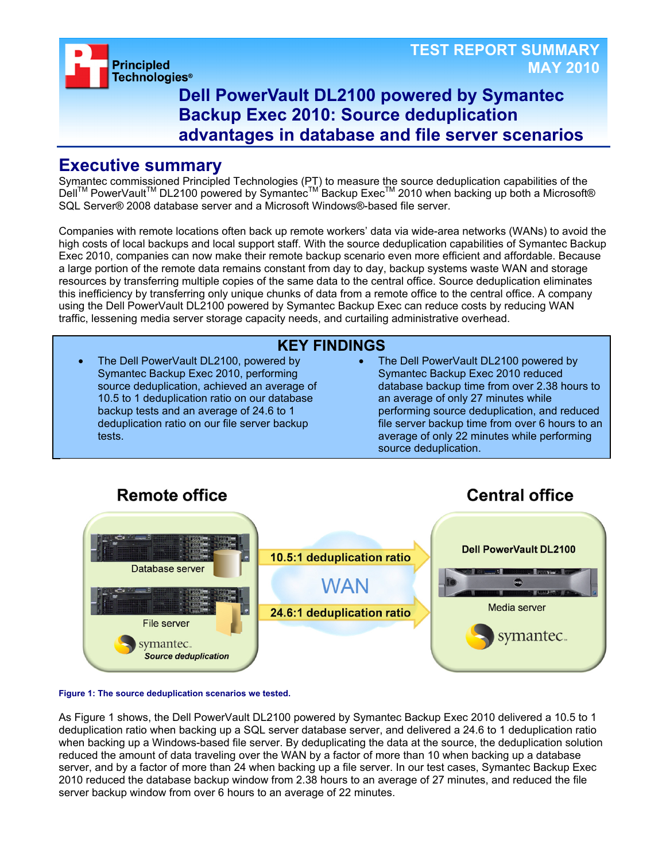## **Dell PowerVault DL2100 powered by Symantec Backup Exec 2010: Source deduplication advantages in database and file server scenarios**

### **Executive summary**

**Principled Technologies<sup>®</sup>** 

Symantec commissioned Principled Technologies (PT) to measure the source deduplication capabilities of the Dell<sup>™</sup> PowerVault<sup>™</sup> DL2100 powered by Symantec<sup>™</sup> Backup Exec™ 2010 when backing up both a Microsoft® SQL Server® 2008 database server and a Microsoft Windows®-based file server.

Companies with remote locations often back up remote workers' data via wide-area networks (WANs) to avoid the high costs of local backups and local support staff. With the source deduplication capabilities of Symantec Backup Exec 2010, companies can now make their remote backup scenario even more efficient and affordable. Because a large portion of the remote data remains constant from day to day, backup systems waste WAN and storage resources by transferring multiple copies of the same data to the central office. Source deduplication eliminates this inefficiency by transferring only unique chunks of data from a remote office to the central office. A company using the Dell PowerVault DL2100 powered by Symantec Backup Exec can reduce costs by reducing WAN traffic, lessening media server storage capacity needs, and curtailing administrative overhead.

### **KEY FINDINGS**

- The Dell PowerVault DL2100, powered by Symantec Backup Exec 2010, performing source deduplication, achieved an average of 10.5 to 1 deduplication ratio on our database backup tests and an average of 24.6 to 1 deduplication ratio on our file server backup tests.
- The Dell PowerVault DL2100 powered by Symantec Backup Exec 2010 reduced database backup time from over 2.38 hours to an average of only 27 minutes while performing source deduplication, and reduced file server backup time from over 6 hours to an average of only 22 minutes while performing source deduplication.



**Figure 1: The source deduplication scenarios we tested.** 

As Figure 1 shows, the Dell PowerVault DL2100 powered by Symantec Backup Exec 2010 delivered a 10.5 to 1 deduplication ratio when backing up a SQL server database server, and delivered a 24.6 to 1 deduplication ratio when backing up a Windows-based file server. By deduplicating the data at the source, the deduplication solution reduced the amount of data traveling over the WAN by a factor of more than 10 when backing up a database server, and by a factor of more than 24 when backing up a file server. In our test cases, Symantec Backup Exec 2010 reduced the database backup window from 2.38 hours to an average of 27 minutes, and reduced the file server backup window from over 6 hours to an average of 22 minutes.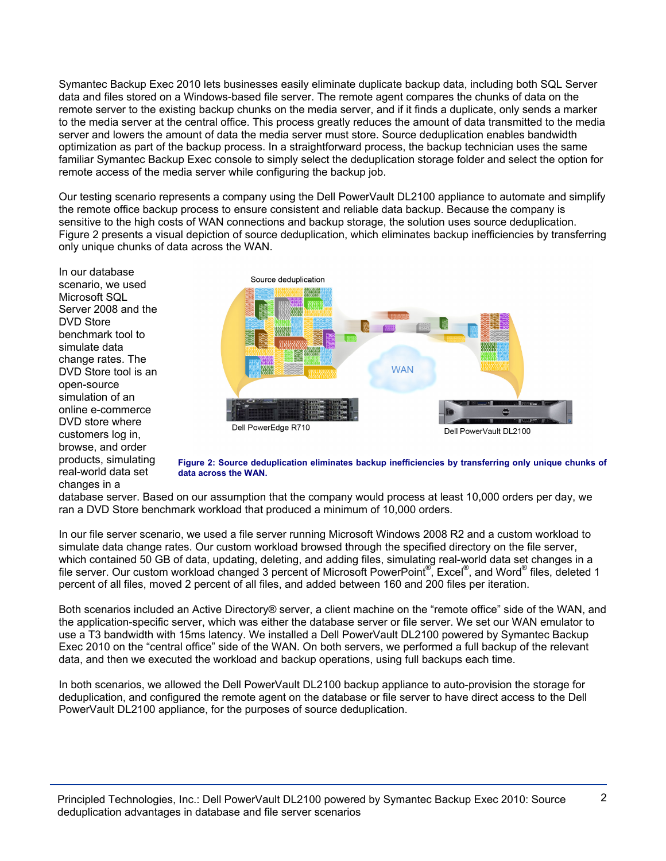Symantec Backup Exec 2010 lets businesses easily eliminate duplicate backup data, including both SQL Server data and files stored on a Windows-based file server. The remote agent compares the chunks of data on the remote server to the existing backup chunks on the media server, and if it finds a duplicate, only sends a marker to the media server at the central office. This process greatly reduces the amount of data transmitted to the media server and lowers the amount of data the media server must store. Source deduplication enables bandwidth optimization as part of the backup process. In a straightforward process, the backup technician uses the same familiar Symantec Backup Exec console to simply select the deduplication storage folder and select the option for remote access of the media server while configuring the backup job.

Our testing scenario represents a company using the Dell PowerVault DL2100 appliance to automate and simplify the remote office backup process to ensure consistent and reliable data backup. Because the company is sensitive to the high costs of WAN connections and backup storage, the solution uses source deduplication. Figure 2 presents a visual depiction of source deduplication, which eliminates backup inefficiencies by transferring only unique chunks of data across the WAN.

In our database scenario, we used Microsoft SQL Server 2008 and the DVD Store benchmark tool to simulate data change rates. The DVD Store tool is an open-source simulation of an online e-commerce DVD store where customers log in, browse, and order products, simulating real-world data set changes in a



**Figure 2: Source deduplication eliminates backup inefficiencies by transferring only unique chunks of data across the WAN.** 

database server. Based on our assumption that the company would process at least 10,000 orders per day, we ran a DVD Store benchmark workload that produced a minimum of 10,000 orders.

In our file server scenario, we used a file server running Microsoft Windows 2008 R2 and a custom workload to simulate data change rates. Our custom workload browsed through the specified directory on the file server, which contained 50 GB of data, updating, deleting, and adding files, simulating real-world data set changes in a file server. Our custom workload changed 3 percent of Microsoft PowerPoint®, Excel®, and Word® files, deleted 1 percent of all files, moved 2 percent of all files, and added between 160 and 200 files per iteration.

Both scenarios included an Active Directory® server, a client machine on the "remote office" side of the WAN, and the application-specific server, which was either the database server or file server. We set our WAN emulator to use a T3 bandwidth with 15ms latency. We installed a Dell PowerVault DL2100 powered by Symantec Backup Exec 2010 on the "central office" side of the WAN. On both servers, we performed a full backup of the relevant data, and then we executed the workload and backup operations, using full backups each time.

In both scenarios, we allowed the Dell PowerVault DL2100 backup appliance to auto-provision the storage for deduplication, and configured the remote agent on the database or file server to have direct access to the Dell PowerVault DL2100 appliance, for the purposes of source deduplication.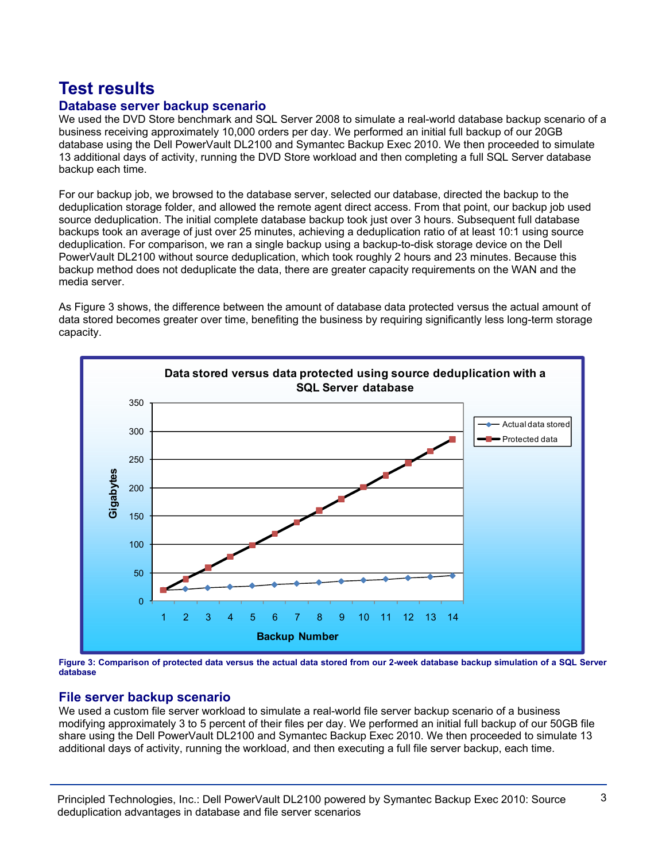# **Test results**

#### **Database server backup scenario**

We used the DVD Store benchmark and SQL Server 2008 to simulate a real-world database backup scenario of a business receiving approximately 10,000 orders per day. We performed an initial full backup of our 20GB database using the Dell PowerVault DL2100 and Symantec Backup Exec 2010. We then proceeded to simulate 13 additional days of activity, running the DVD Store workload and then completing a full SQL Server database backup each time.

For our backup job, we browsed to the database server, selected our database, directed the backup to the deduplication storage folder, and allowed the remote agent direct access. From that point, our backup job used source deduplication. The initial complete database backup took just over 3 hours. Subsequent full database backups took an average of just over 25 minutes, achieving a deduplication ratio of at least 10:1 using source deduplication. For comparison, we ran a single backup using a backup-to-disk storage device on the Dell PowerVault DL2100 without source deduplication, which took roughly 2 hours and 23 minutes. Because this backup method does not deduplicate the data, there are greater capacity requirements on the WAN and the media server.

As Figure 3 shows, the difference between the amount of database data protected versus the actual amount of data stored becomes greater over time, benefiting the business by requiring significantly less long-term storage capacity.



**Figure 3: Comparison of protected data versus the actual data stored from our 2-week database backup simulation of a SQL Server database** 

#### **File server backup scenario**

We used a custom file server workload to simulate a real-world file server backup scenario of a business modifying approximately 3 to 5 percent of their files per day. We performed an initial full backup of our 50GB file share using the Dell PowerVault DL2100 and Symantec Backup Exec 2010. We then proceeded to simulate 13 additional days of activity, running the workload, and then executing a full file server backup, each time.